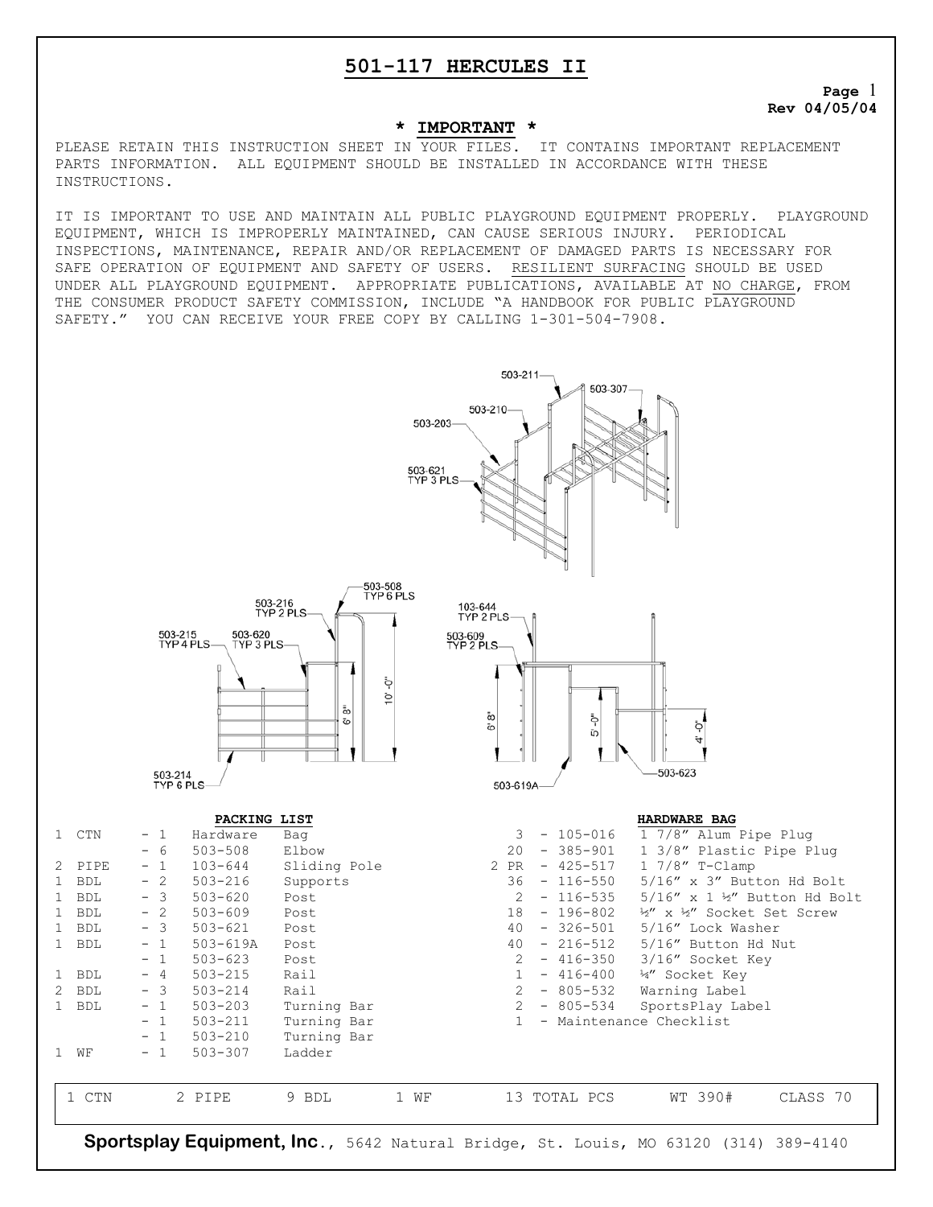**Page** 1 **Rev 04/05/04** 

#### **\* IMPORTANT \***

PLEASE RETAIN THIS INSTRUCTION SHEET IN YOUR FILES. IT CONTAINS IMPORTANT REPLACEMENT PARTS INFORMATION. ALL EQUIPMENT SHOULD BE INSTALLED IN ACCORDANCE WITH THESE INSTRUCTIONS.

IT IS IMPORTANT TO USE AND MAINTAIN ALL PUBLIC PLAYGROUND EQUIPMENT PROPERLY. PLAYGROUND EQUIPMENT, WHICH IS IMPROPERLY MAINTAINED, CAN CAUSE SERIOUS INJURY. PERIODICAL INSPECTIONS, MAINTENANCE, REPAIR AND/OR REPLACEMENT OF DAMAGED PARTS IS NECESSARY FOR SAFE OPERATION OF EQUIPMENT AND SAFETY OF USERS. RESILIENT SURFACING SHOULD BE USED UNDER ALL PLAYGROUND EQUIPMENT. APPROPRIATE PUBLICATIONS, AVAILABLE AT NO CHARGE, FROM THE CONSUMER PRODUCT SAFETY COMMISSION, INCLUDE "A HANDBOOK FOR PUBLIC PLAYGROUND SAFETY." YOU CAN RECEIVE YOUR FREE COPY BY CALLING 1-301-504-7908.

503-211

503-210

503-203

503-621<br>TYP 3 PLS





503-307

#### **PACKING LIST HARDWARE BAG**

| CTN        | - 1  | Hardware     | Bag          |      | 3.   | $-105 - 016$ | 1 7/8" Alum Pipe Plug          |
|------------|------|--------------|--------------|------|------|--------------|--------------------------------|
|            | - 6  | $503 - 508$  | Elbow        |      | 20   | $-385 - 901$ | 1 3/8" Plastic Pipe Plug       |
| 2 PIPE     | $-1$ | $103 - 644$  | Sliding Pole |      | 2 PR | $-425 - 517$ | $17/8"$ T-Clamp                |
| <b>BDL</b> | - 2  | $503 - 216$  | Supports     |      | 36   | $-116 - 550$ | 5/16" x 3" Button Hd Bolt      |
| <b>BDL</b> | - 3  | $503 - 620$  | Post         |      | 2    | $-116 - 535$ | $5/16''$ x 1 ½" Button Hd Bolt |
| <b>BDL</b> | $-2$ | $503 - 609$  | Post         |      | 18   | $-196 - 802$ | 12" x 12" Socket Set Screw     |
| <b>BDL</b> | $-3$ | $503 - 621$  | Post         |      | 40   | $-326 - 501$ | 5/16" Lock Washer              |
| <b>BDL</b> | $-1$ | $503 - 619A$ | Post         |      | 40   | $-216-512$   | 5/16" Button Hd Nut            |
|            | $-1$ | $503 - 623$  | Post         |      | 2    | $-416-350$   | 3/16" Socket Key               |
| <b>BDL</b> | $-4$ | $503 - 215$  | Rail         |      |      | $-416-400$   | 4" Socket Key                  |
| BDL<br>2.  | - 3  | $503 - 214$  | Rail         |      | 2    | $-805 - 532$ | Warning Label                  |
| <b>BDL</b> | $-1$ | $503 - 203$  | Turning Bar  |      | 2    | $-805 - 534$ | SportsPlay Label               |
|            | - 1  | $503 - 211$  | Turning Bar  |      |      |              | - Maintenance Checklist        |
|            | $-1$ | $503 - 210$  | Turning Bar  |      |      |              |                                |
| WЕ         | - 1  | $503 - 307$  | Ladder       |      |      |              |                                |
|            |      |              |              |      |      |              |                                |
| 1 CTN      |      | 2 PIPE       | 9 BDL        | 1 WF |      | 13 TOTAL PCS | WT 390#<br>CLASS 70            |
|            |      |              |              |      |      |              |                                |
|            |      |              |              |      |      |              |                                |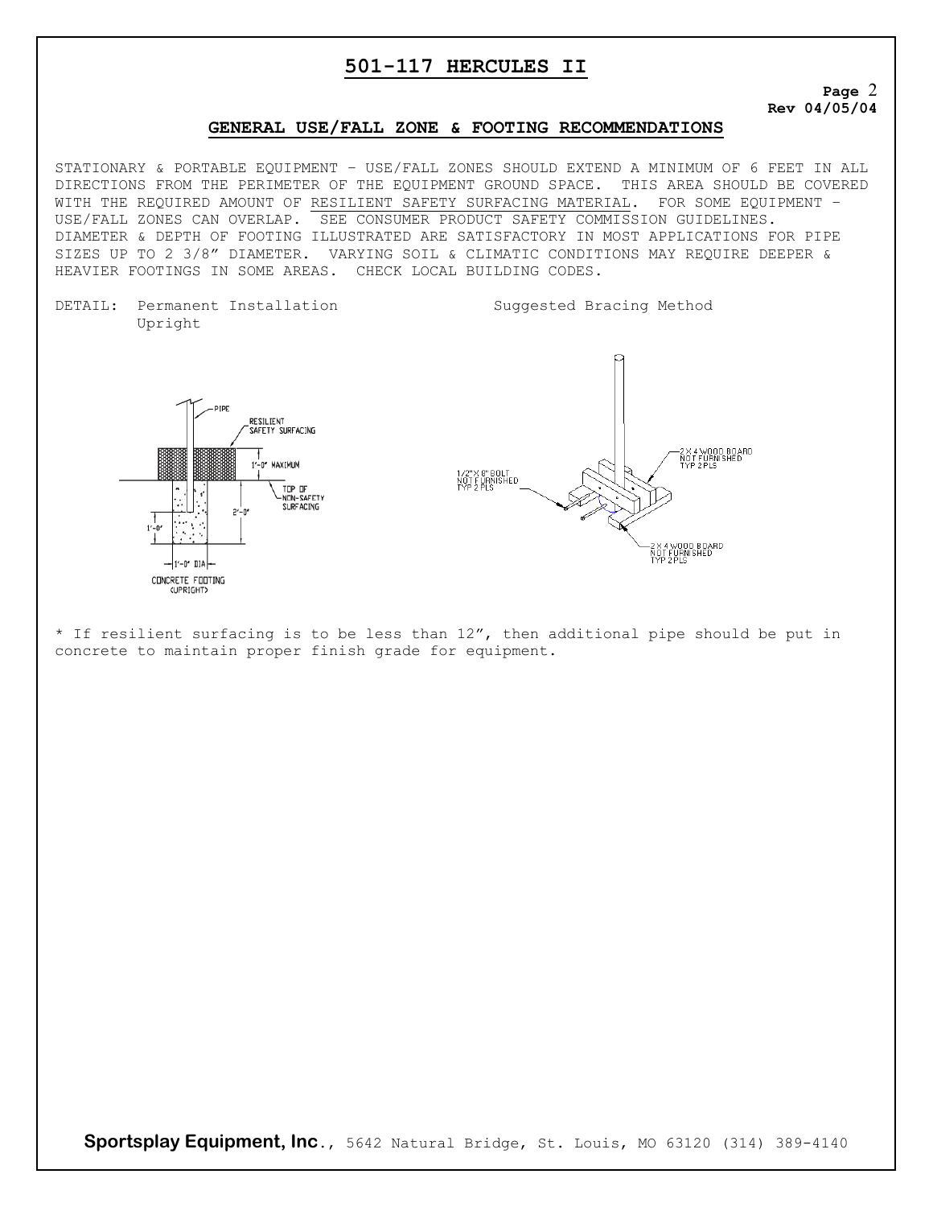#### **Page** 2 **Rev 04/05/04**

### **GENERAL USE/FALL ZONE & FOOTING RECOMMENDATIONS**

STATIONARY & PORTABLE EQUIPMENT – USE/FALL ZONES SHOULD EXTEND A MINIMUM OF 6 FEET IN ALL DIRECTIONS FROM THE PERIMETER OF THE EQUIPMENT GROUND SPACE. THIS AREA SHOULD BE COVERED WITH THE REQUIRED AMOUNT OF RESILIENT SAFETY SURFACING MATERIAL. FOR SOME EQUIPMENT – USE/FALL ZONES CAN OVERLAP. SEE CONSUMER PRODUCT SAFETY COMMISSION GUIDELINES. DIAMETER & DEPTH OF FOOTING ILLUSTRATED ARE SATISFACTORY IN MOST APPLICATIONS FOR PIPE SIZES UP TO 2 3/8" DIAMETER. VARYING SOIL & CLIMATIC CONDITIONS MAY REQUIRE DEEPER & HEAVIER FOOTINGS IN SOME AREAS. CHECK LOCAL BUILDING CODES.

DETAIL: Permanent Installation Suggested Bracing Method Upright



\* If resilient surfacing is to be less than 12", then additional pipe should be put in concrete to maintain proper finish grade for equipment.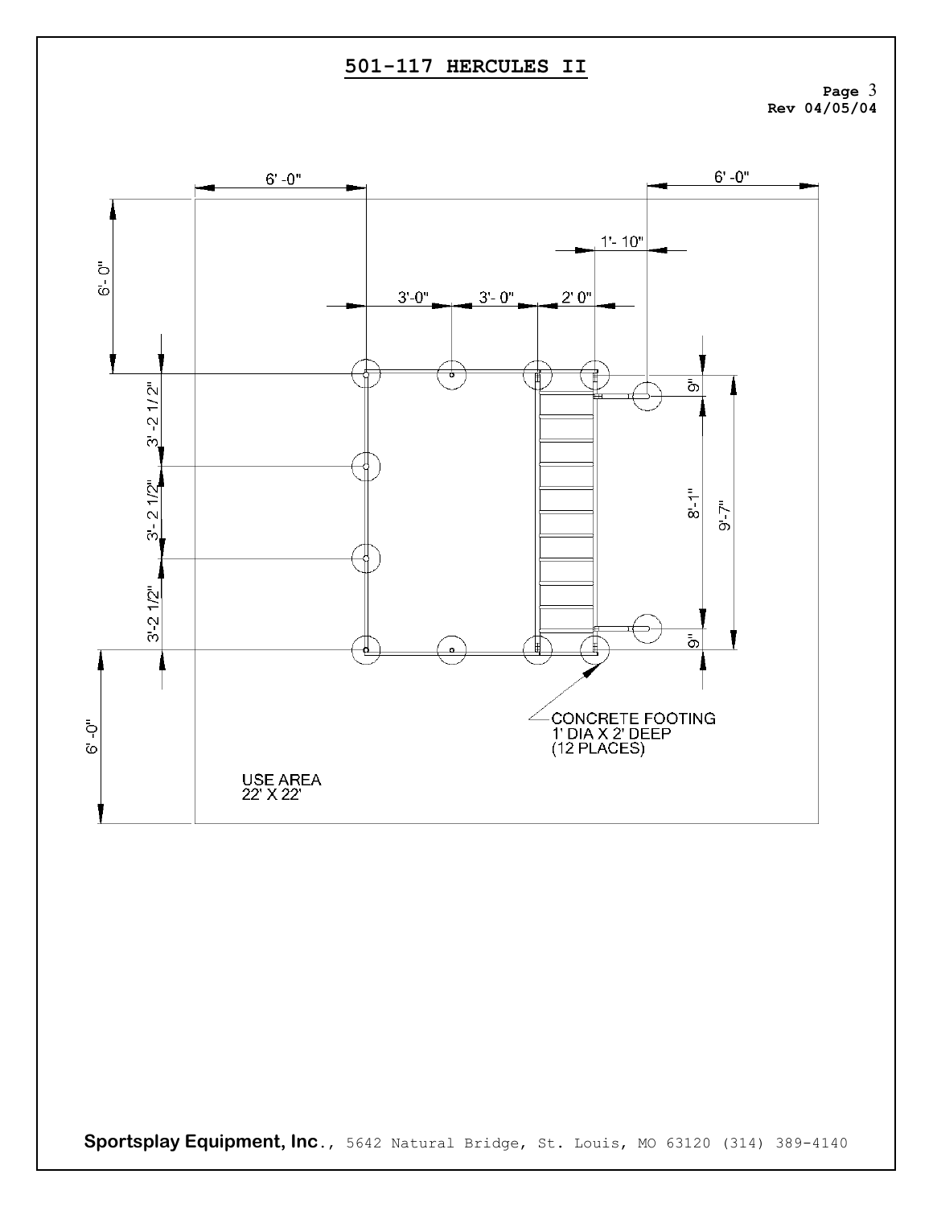**Page** 3 **Rev 04/05/04** 

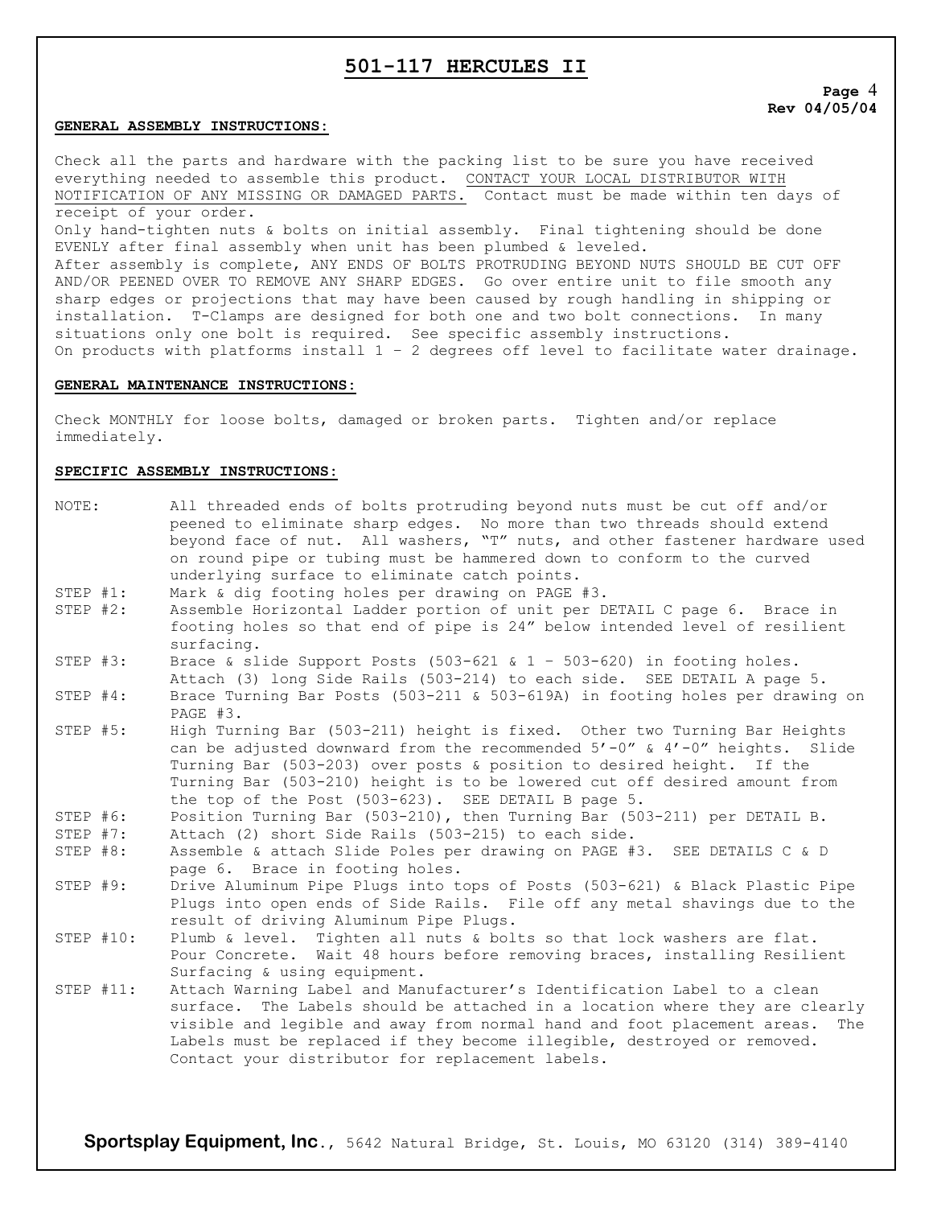#### **GENERAL ASSEMBLY INSTRUCTIONS:**

Check all the parts and hardware with the packing list to be sure you have received everything needed to assemble this product. CONTACT YOUR LOCAL DISTRIBUTOR WITH NOTIFICATION OF ANY MISSING OR DAMAGED PARTS. Contact must be made within ten days of receipt of your order. Only hand-tighten nuts & bolts on initial assembly. Final tightening should be done EVENLY after final assembly when unit has been plumbed & leveled. After assembly is complete, ANY ENDS OF BOLTS PROTRUDING BEYOND NUTS SHOULD BE CUT OFF AND/OR PEENED OVER TO REMOVE ANY SHARP EDGES. Go over entire unit to file smooth any sharp edges or projections that may have been caused by rough handling in shipping or

installation. T-Clamps are designed for both one and two bolt connections. In many

On products with platforms install  $1 - 2$  degrees off level to facilitate water drainage.

### **GENERAL MAINTENANCE INSTRUCTIONS:**

Check MONTHLY for loose bolts, damaged or broken parts. Tighten and/or replace immediately.

situations only one bolt is required. See specific assembly instructions.

#### **SPECIFIC ASSEMBLY INSTRUCTIONS:**

| NOTE:        | All threaded ends of bolts protruding beyond nuts must be cut off and/or<br>peened to eliminate sharp edges. No more than two threads should extend                                                                                                                                                                                                                        |  |  |  |  |  |
|--------------|----------------------------------------------------------------------------------------------------------------------------------------------------------------------------------------------------------------------------------------------------------------------------------------------------------------------------------------------------------------------------|--|--|--|--|--|
|              | beyond face of nut. All washers, "T" nuts, and other fastener hardware used<br>on round pipe or tubing must be hammered down to conform to the curved                                                                                                                                                                                                                      |  |  |  |  |  |
|              | underlying surface to eliminate catch points.                                                                                                                                                                                                                                                                                                                              |  |  |  |  |  |
| STEP $#1$ :  | Mark & dig footing holes per drawing on PAGE #3.                                                                                                                                                                                                                                                                                                                           |  |  |  |  |  |
| STEP #2:     | Assemble Horizontal Ladder portion of unit per DETAIL C page 6. Brace in                                                                                                                                                                                                                                                                                                   |  |  |  |  |  |
|              | footing holes so that end of pipe is 24" below intended level of resilient<br>surfacing.                                                                                                                                                                                                                                                                                   |  |  |  |  |  |
| STEP #3:     | Brace & slide Support Posts (503-621 & 1 - 503-620) in footing holes.                                                                                                                                                                                                                                                                                                      |  |  |  |  |  |
|              | Attach (3) long Side Rails (503-214) to each side. SEE DETAIL A page 5.                                                                                                                                                                                                                                                                                                    |  |  |  |  |  |
| STEP #4:     | Brace Turning Bar Posts (503-211 & 503-619A) in footing holes per drawing on<br>PAGE #3.                                                                                                                                                                                                                                                                                   |  |  |  |  |  |
| STEP #5:     | High Turning Bar (503-211) height is fixed. Other two Turning Bar Heights<br>can be adjusted downward from the recommended $5'-0''$ & $4'-0''$ heights. Slide<br>Turning Bar (503-203) over posts & position to desired height. If the<br>Turning Bar (503-210) height is to be lowered cut off desired amount from<br>the top of the Post (503-623). SEE DETAIL B page 5. |  |  |  |  |  |
| STEP #6:     | Position Turning Bar (503-210), then Turning Bar (503-211) per DETAIL B.                                                                                                                                                                                                                                                                                                   |  |  |  |  |  |
| STEP #7:     | Attach (2) short Side Rails (503-215) to each side.                                                                                                                                                                                                                                                                                                                        |  |  |  |  |  |
| STEP #8:     | Assemble & attach Slide Poles per drawing on PAGE #3. SEE DETAILS C & D<br>page 6. Brace in footing holes.                                                                                                                                                                                                                                                                 |  |  |  |  |  |
| STEP #9:     | Drive Aluminum Pipe Plugs into tops of Posts (503-621) & Black Plastic Pipe<br>Plugs into open ends of Side Rails. File off any metal shavings due to the<br>result of driving Aluminum Pipe Plugs.                                                                                                                                                                        |  |  |  |  |  |
| STEP #10:    | Plumb & level. Tighten all nuts & bolts so that lock washers are flat.<br>Pour Concrete. Wait 48 hours before removing braces, installing Resilient<br>Surfacing & using equipment.                                                                                                                                                                                        |  |  |  |  |  |
| STEP $#11$ : | Attach Warning Label and Manufacturer's Identification Label to a clean<br>surface. The Labels should be attached in a location where they are clearly<br>visible and legible and away from normal hand and foot placement areas.<br>The<br>Labels must be replaced if they become illegible, destroyed or removed.<br>Contact your distributor for replacement labels.    |  |  |  |  |  |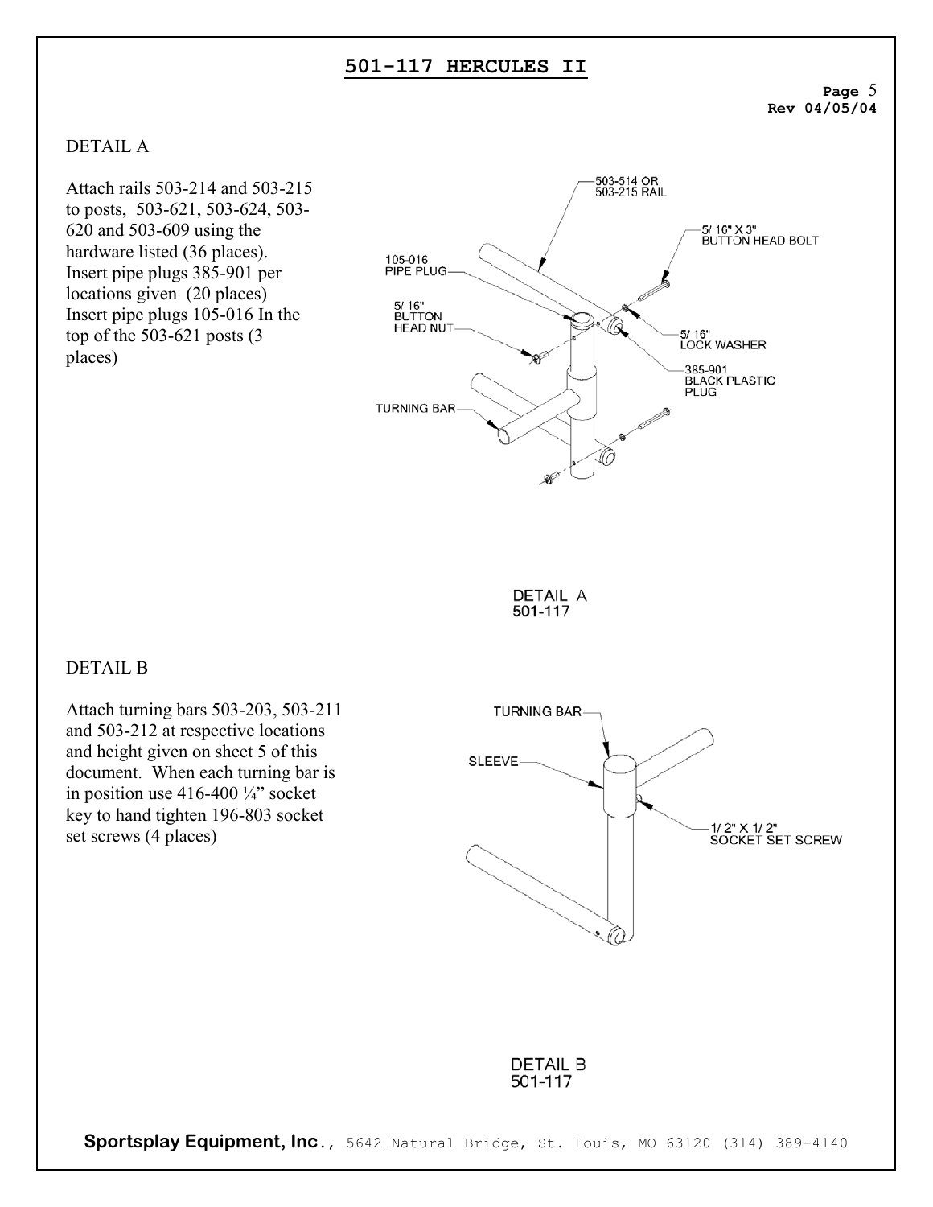**Page** 5 **Rev 04/05/04** 

## DETAIL A

Attach rails 503-214 and 503-215 to posts, 503-621, 503-624, 503- 620 and 503-609 using the hardware listed (36 places). Insert pipe plugs 385-901 per locations given (20 places) Insert pipe plugs 105-016 In the top of the 503-621 posts (3 places)





## DETAIL B

Attach turning bars 503-203, 503-211 and 503-212 at respective locations and height given on sheet 5 of this document. When each turning bar is in position use 416-400 ¼" socket key to hand tighten 196-803 socket set screws (4 places)



**DETAIL B** 501-117